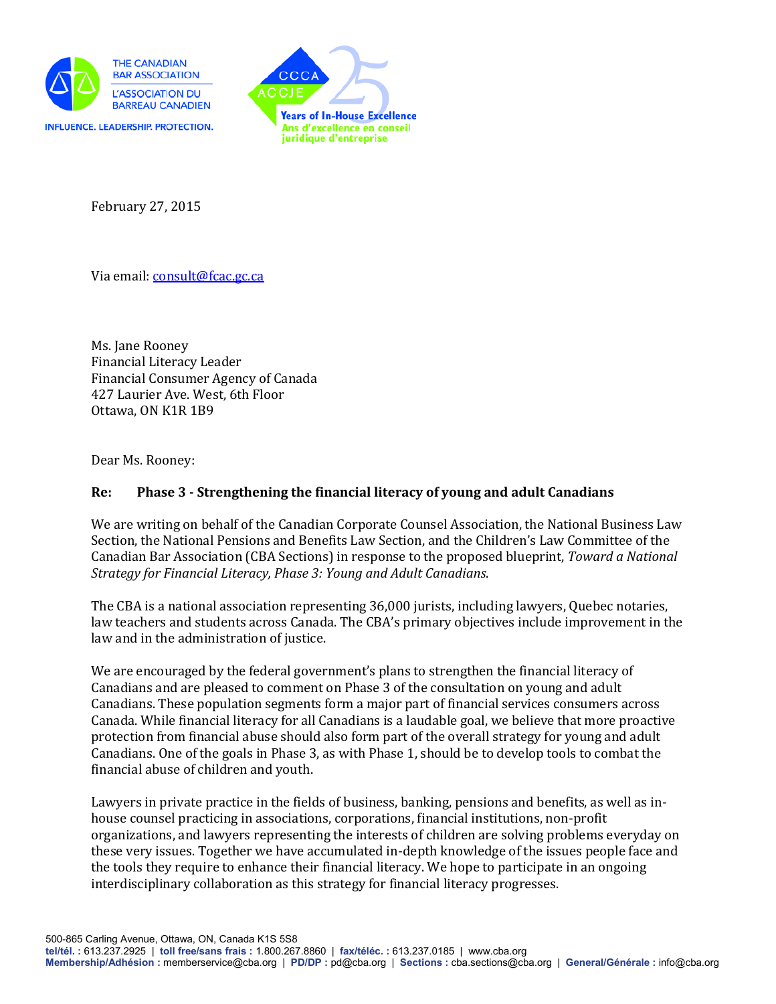



February 27, 2015

Via email: [consult@fcac.gc.ca](mailto:consult@fcac.gc.ca)

Ms. Jane Rooney Financial Literacy Leader Financial Consumer Agency of Canada 427 Laurier Ave. West, 6th Floor Ottawa, ON K1R 1B9

Dear Ms. Rooney:

# **Re: Phase 3 - Strengthening the financial literacy of young and adult Canadians**

We are writing on behalf of the Canadian Corporate Counsel Association, the National Business Law Section, the National Pensions and Benefits Law Section, and the Children's Law Committee of the Canadian Bar Association (CBA Sections) in response to the proposed blueprint, *Toward a National Strategy for Financial Literacy, Phase 3: Young and Adult Canadians*.

The CBA is a national association representing 36,000 jurists, including lawyers, Quebec notaries, law teachers and students across Canada. The CBA's primary objectives include improvement in the law and in the administration of justice.

We are encouraged by the federal government's plans to strengthen the financial literacy of Canadians and are pleased to comment on Phase 3 of the consultation on young and adult Canadians. These population segments form a major part of financial services consumers across Canada. While financial literacy for all Canadians is a laudable goal, we believe that more proactive protection from financial abuse should also form part of the overall strategy for young and adult Canadians. One of the goals in Phase 3, as with Phase 1, should be to develop tools to combat the financial abuse of children and youth.

Lawyers in private practice in the fields of business, banking, pensions and benefits, as well as inhouse counsel practicing in associations, corporations, financial institutions, non-profit organizations, and lawyers representing the interests of children are solving problems everyday on these very issues. Together we have accumulated in-depth knowledge of the issues people face and the tools they require to enhance their financial literacy. We hope to participate in an ongoing interdisciplinary collaboration as this strategy for financial literacy progresses.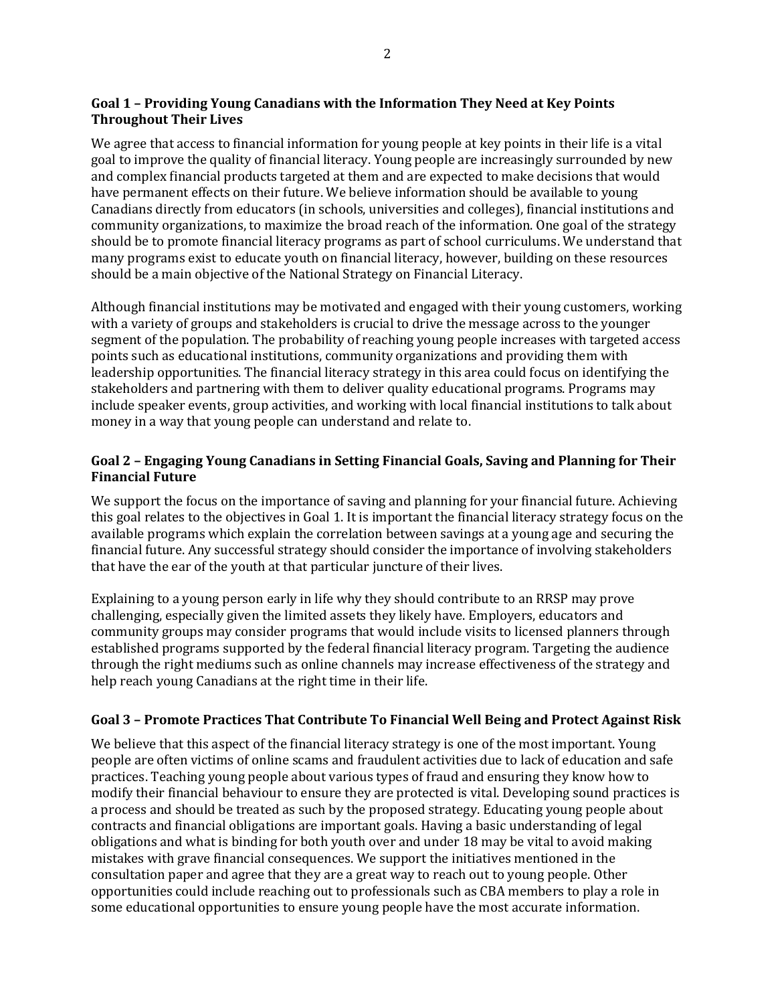## **Goal 1 – Providing Young Canadians with the Information They Need at Key Points Throughout Their Lives**

We agree that access to financial information for young people at key points in their life is a vital goal to improve the quality of financial literacy. Young people are increasingly surrounded by new and complex financial products targeted at them and are expected to make decisions that would have permanent effects on their future. We believe information should be available to young Canadians directly from educators (in schools, universities and colleges), financial institutions and community organizations, to maximize the broad reach of the information. One goal of the strategy should be to promote financial literacy programs as part of school curriculums. We understand that many programs exist to educate youth on financial literacy, however, building on these resources should be a main objective of the National Strategy on Financial Literacy.

Although financial institutions may be motivated and engaged with their young customers, working with a variety of groups and stakeholders is crucial to drive the message across to the younger segment of the population. The probability of reaching young people increases with targeted access points such as educational institutions, community organizations and providing them with leadership opportunities. The financial literacy strategy in this area could focus on identifying the stakeholders and partnering with them to deliver quality educational programs. Programs may include speaker events, group activities, and working with local financial institutions to talk about money in a way that young people can understand and relate to.

## **Goal 2 – Engaging Young Canadians in Setting Financial Goals, Saving and Planning for Their Financial Future**

We support the focus on the importance of saving and planning for your financial future. Achieving this goal relates to the objectives in Goal 1. It is important the financial literacy strategy focus on the available programs which explain the correlation between savings at a young age and securing the financial future. Any successful strategy should consider the importance of involving stakeholders that have the ear of the youth at that particular juncture of their lives.

Explaining to a young person early in life why they should contribute to an RRSP may prove challenging, especially given the limited assets they likely have. Employers, educators and community groups may consider programs that would include visits to licensed planners through established programs supported by the federal financial literacy program. Targeting the audience through the right mediums such as online channels may increase effectiveness of the strategy and help reach young Canadians at the right time in their life.

### **Goal 3 – Promote Practices That Contribute To Financial Well Being and Protect Against Risk**

We believe that this aspect of the financial literacy strategy is one of the most important. Young people are often victims of online scams and fraudulent activities due to lack of education and safe practices. Teaching young people about various types of fraud and ensuring they know how to modify their financial behaviour to ensure they are protected is vital. Developing sound practices is a process and should be treated as such by the proposed strategy. Educating young people about contracts and financial obligations are important goals. Having a basic understanding of legal obligations and what is binding for both youth over and under 18 may be vital to avoid making mistakes with grave financial consequences. We support the initiatives mentioned in the consultation paper and agree that they are a great way to reach out to young people. Other opportunities could include reaching out to professionals such as CBA members to play a role in some educational opportunities to ensure young people have the most accurate information.